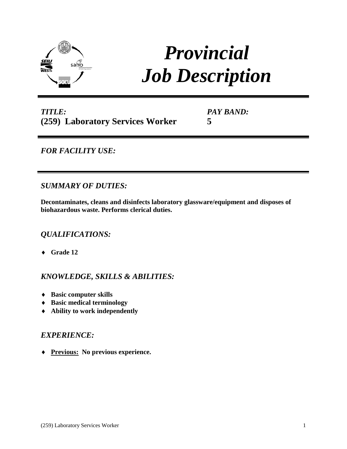

# *Provincial Job Description*

# *TITLE:* **(259) Laboratory Services Worker**

*PAY BAND:* **5**

# *FOR FACILITY USE:*

# *SUMMARY OF DUTIES:*

**Decontaminates, cleans and disinfects laboratory glassware/equipment and disposes of biohazardous waste. Performs clerical duties.**

## *QUALIFICATIONS:*

♦ **Grade 12**

## *KNOWLEDGE, SKILLS & ABILITIES:*

- ♦ **Basic computer skills**
- ♦ **Basic medical terminology**
- ♦ **Ability to work independently**

#### *EXPERIENCE:*

♦ **Previous: No previous experience.**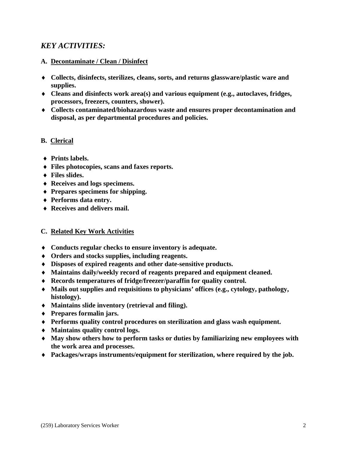## *KEY ACTIVITIES:*

#### **A. Decontaminate / Clean / Disinfect**

- ♦ **Collects, disinfects, sterilizes, cleans, sorts, and returns glassware/plastic ware and supplies.**
- ♦ **Cleans and disinfects work area(s) and various equipment (e.g., autoclaves, fridges, processors, freezers, counters, shower).**
- ♦ **Collects contaminated/biohazardous waste and ensures proper decontamination and disposal, as per departmental procedures and policies.**

#### **B. Clerical**

- ♦ **Prints labels.**
- ♦ **Files photocopies, scans and faxes reports.**
- ♦ **Files slides.**
- ♦ **Receives and logs specimens.**
- ♦ **Prepares specimens for shipping.**
- ♦ **Performs data entry.**
- ♦ **Receives and delivers mail.**

#### **C. Related Key Work Activities**

- ♦ **Conducts regular checks to ensure inventory is adequate.**
- ♦ **Orders and stocks supplies, including reagents.**
- ♦ **Disposes of expired reagents and other date-sensitive products.**
- ♦ **Maintains daily/weekly record of reagents prepared and equipment cleaned.**
- ♦ **Records temperatures of fridge/freezer/paraffin for quality control.**
- ♦ **Mails out supplies and requisitions to physicians' offices (e.g., cytology, pathology, histology).**
- ♦ **Maintains slide inventory (retrieval and filing).**
- ♦ **Prepares formalin jars.**
- ♦ **Performs quality control procedures on sterilization and glass wash equipment.**
- ♦ **Maintains quality control logs.**
- ♦ **May show others how to perform tasks or duties by familiarizing new employees with the work area and processes.**
- ♦ **Packages/wraps instruments/equipment for sterilization, where required by the job.**